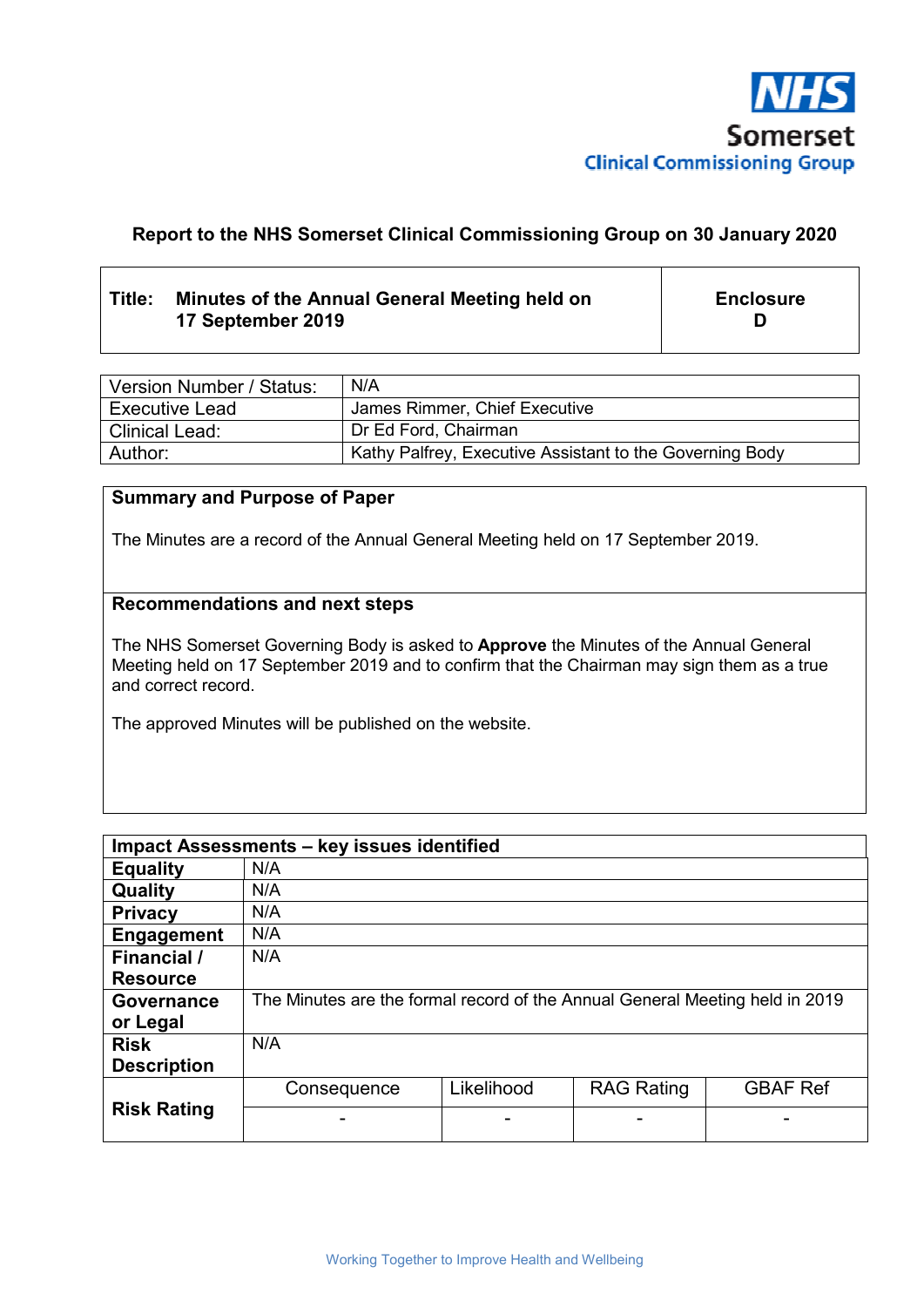

# **Report to the NHS Somerset Clinical Commissioning Group on 30 January 2020**

# **Title: Minutes of the Annual General Meeting held on 17 September 2019**

**Enclosure D** 

| Version Number / Status: | N/A                                                      |
|--------------------------|----------------------------------------------------------|
| l Executive Lead         | James Rimmer, Chief Executive                            |
| l Clinical Lead:         | Dr Ed Ford, Chairman                                     |
| Author:                  | Kathy Palfrey, Executive Assistant to the Governing Body |

## **Summary and Purpose of Paper**

The Minutes are a record of the Annual General Meeting held on 17 September 2019.

## **Recommendations and next steps**

The NHS Somerset Governing Body is asked to **Approve** the Minutes of the Annual General Meeting held on 17 September 2019 and to confirm that the Chairman may sign them as a true and correct record.

The approved Minutes will be published on the website.

| Impact Assessments - key issues identified |                                                                              |            |                   |                 |  |
|--------------------------------------------|------------------------------------------------------------------------------|------------|-------------------|-----------------|--|
| <b>Equality</b>                            | N/A                                                                          |            |                   |                 |  |
| Quality                                    | N/A                                                                          |            |                   |                 |  |
| <b>Privacy</b>                             | N/A                                                                          |            |                   |                 |  |
| <b>Engagement</b>                          | N/A                                                                          |            |                   |                 |  |
| Financial /                                | N/A                                                                          |            |                   |                 |  |
| <b>Resource</b>                            |                                                                              |            |                   |                 |  |
| Governance                                 | The Minutes are the formal record of the Annual General Meeting held in 2019 |            |                   |                 |  |
| or Legal                                   |                                                                              |            |                   |                 |  |
| <b>Risk</b>                                | N/A                                                                          |            |                   |                 |  |
| <b>Description</b>                         |                                                                              |            |                   |                 |  |
| <b>Risk Rating</b>                         | Consequence                                                                  | Likelihood | <b>RAG Rating</b> | <b>GBAF Ref</b> |  |
|                                            |                                                                              |            |                   |                 |  |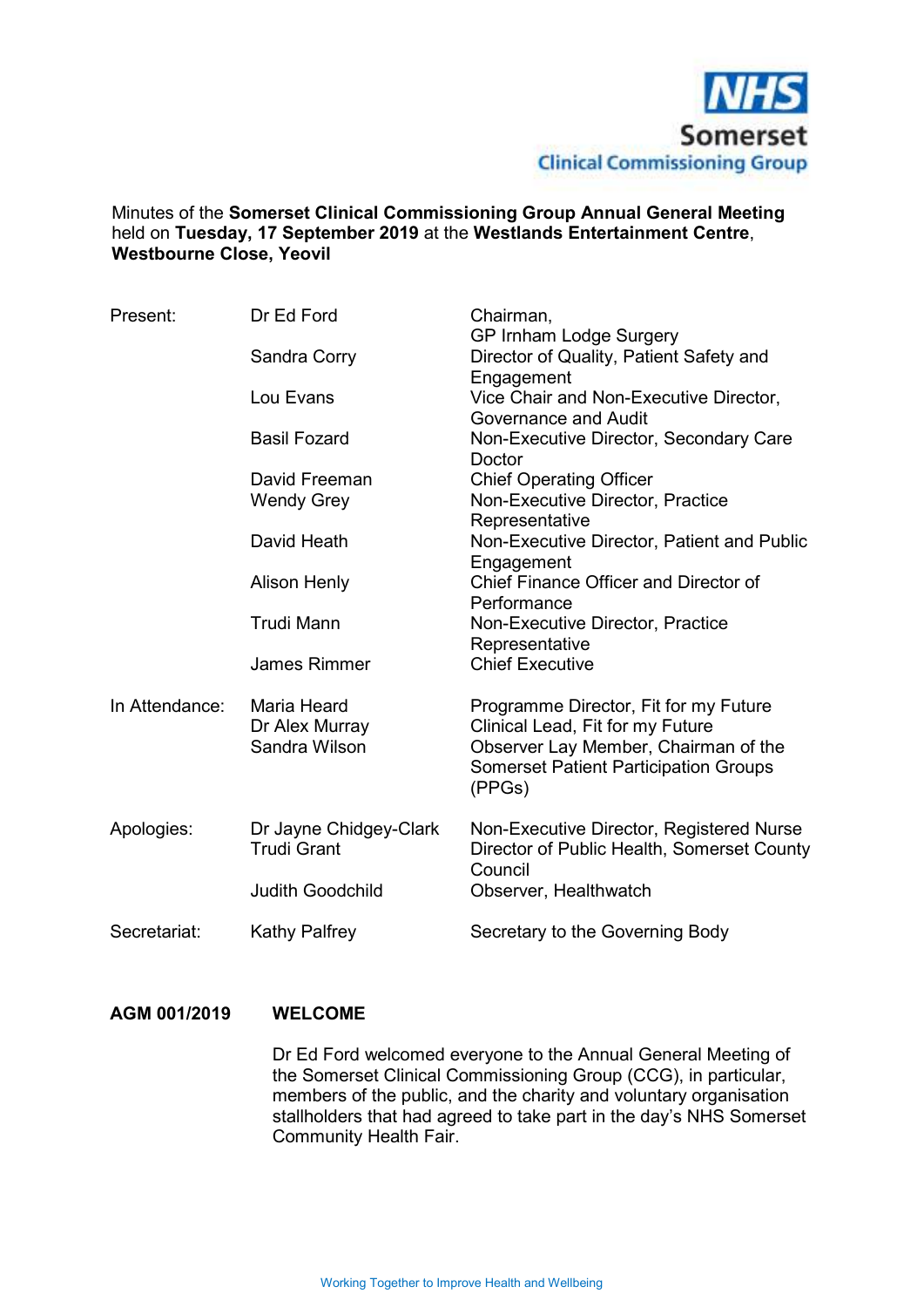

## Minutes of the **Somerset Clinical Commissioning Group Annual General Meeting** held on **Tuesday, 17 September 2019** at the **Westlands Entertainment Centre**, **Westbourne Close, Yeovil**

| Present:       | Dr Ed Ford                                     | Chairman,<br>GP Irnham Lodge Surgery                                                                                                                                        |  |  |
|----------------|------------------------------------------------|-----------------------------------------------------------------------------------------------------------------------------------------------------------------------------|--|--|
|                | Sandra Corry                                   | Director of Quality, Patient Safety and                                                                                                                                     |  |  |
|                | Lou Evans                                      | Engagement<br>Vice Chair and Non-Executive Director,<br>Governance and Audit                                                                                                |  |  |
|                | <b>Basil Fozard</b>                            | Non-Executive Director, Secondary Care<br>Doctor                                                                                                                            |  |  |
|                | David Freeman                                  | <b>Chief Operating Officer</b>                                                                                                                                              |  |  |
|                | <b>Wendy Grey</b>                              | Non-Executive Director, Practice<br>Representative                                                                                                                          |  |  |
|                | David Heath                                    | Non-Executive Director, Patient and Public<br>Engagement                                                                                                                    |  |  |
|                | <b>Alison Henly</b>                            | Chief Finance Officer and Director of<br>Performance                                                                                                                        |  |  |
|                | <b>Trudi Mann</b>                              | Non-Executive Director, Practice<br>Representative                                                                                                                          |  |  |
|                | <b>James Rimmer</b>                            | <b>Chief Executive</b>                                                                                                                                                      |  |  |
| In Attendance: | Maria Heard<br>Dr Alex Murray<br>Sandra Wilson | Programme Director, Fit for my Future<br>Clinical Lead, Fit for my Future<br>Observer Lay Member, Chairman of the<br><b>Somerset Patient Participation Groups</b><br>(PPGs) |  |  |
| Apologies:     | Dr Jayne Chidgey-Clark<br><b>Trudi Grant</b>   | Non-Executive Director, Registered Nurse<br>Director of Public Health, Somerset County<br>Council                                                                           |  |  |
|                | <b>Judith Goodchild</b>                        | Observer, Healthwatch                                                                                                                                                       |  |  |
| Secretariat:   | <b>Kathy Palfrey</b>                           | Secretary to the Governing Body                                                                                                                                             |  |  |

## **AGM 001/2019 WELCOME**

 Dr Ed Ford welcomed everyone to the Annual General Meeting of the Somerset Clinical Commissioning Group (CCG), in particular, members of the public, and the charity and voluntary organisation stallholders that had agreed to take part in the day's NHS Somerset Community Health Fair.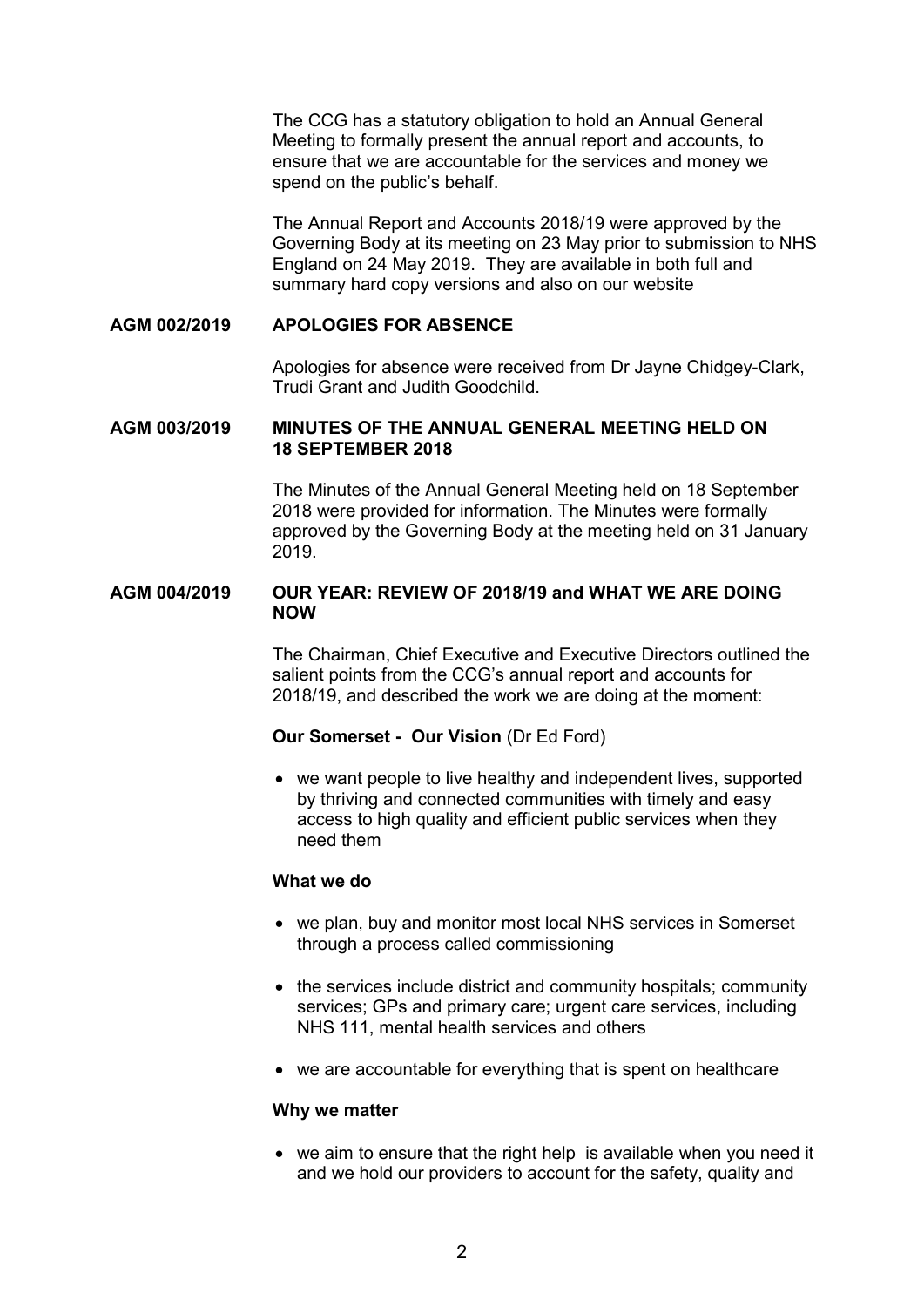The CCG has a statutory obligation to hold an Annual General Meeting to formally present the annual report and accounts, to ensure that we are accountable for the services and money we spend on the public's behalf.

 The Annual Report and Accounts 2018/19 were approved by the Governing Body at its meeting on 23 May prior to submission to NHS England on 24 May 2019. They are available in both full and summary hard copy versions and also on our website

### **AGM 002/2019 APOLOGIES FOR ABSENCE**

 Apologies for absence were received from Dr Jayne Chidgey-Clark, Trudi Grant and Judith Goodchild.

### **AGM 003/2019 MINUTES OF THE ANNUAL GENERAL MEETING HELD ON 18 SEPTEMBER 2018**

 The Minutes of the Annual General Meeting held on 18 September 2018 were provided for information. The Minutes were formally approved by the Governing Body at the meeting held on 31 January 2019.

### **AGM 004/2019 OUR YEAR: REVIEW OF 2018/19 and WHAT WE ARE DOING NOW**

 The Chairman, Chief Executive and Executive Directors outlined the salient points from the CCG's annual report and accounts for 2018/19, and described the work we are doing at the moment:

### **Our Somerset - Our Vision** (Dr Ed Ford)

• we want people to live healthy and independent lives, supported by thriving and connected communities with timely and easy access to high quality and efficient public services when they need them

#### **What we do**

- we plan, buy and monitor most local NHS services in Somerset through a process called commissioning
- the services include district and community hospitals; community services; GPs and primary care; urgent care services, including NHS 111, mental health services and others
- we are accountable for everything that is spent on healthcare

#### **Why we matter**

• we aim to ensure that the right help is available when you need it and we hold our providers to account for the safety, quality and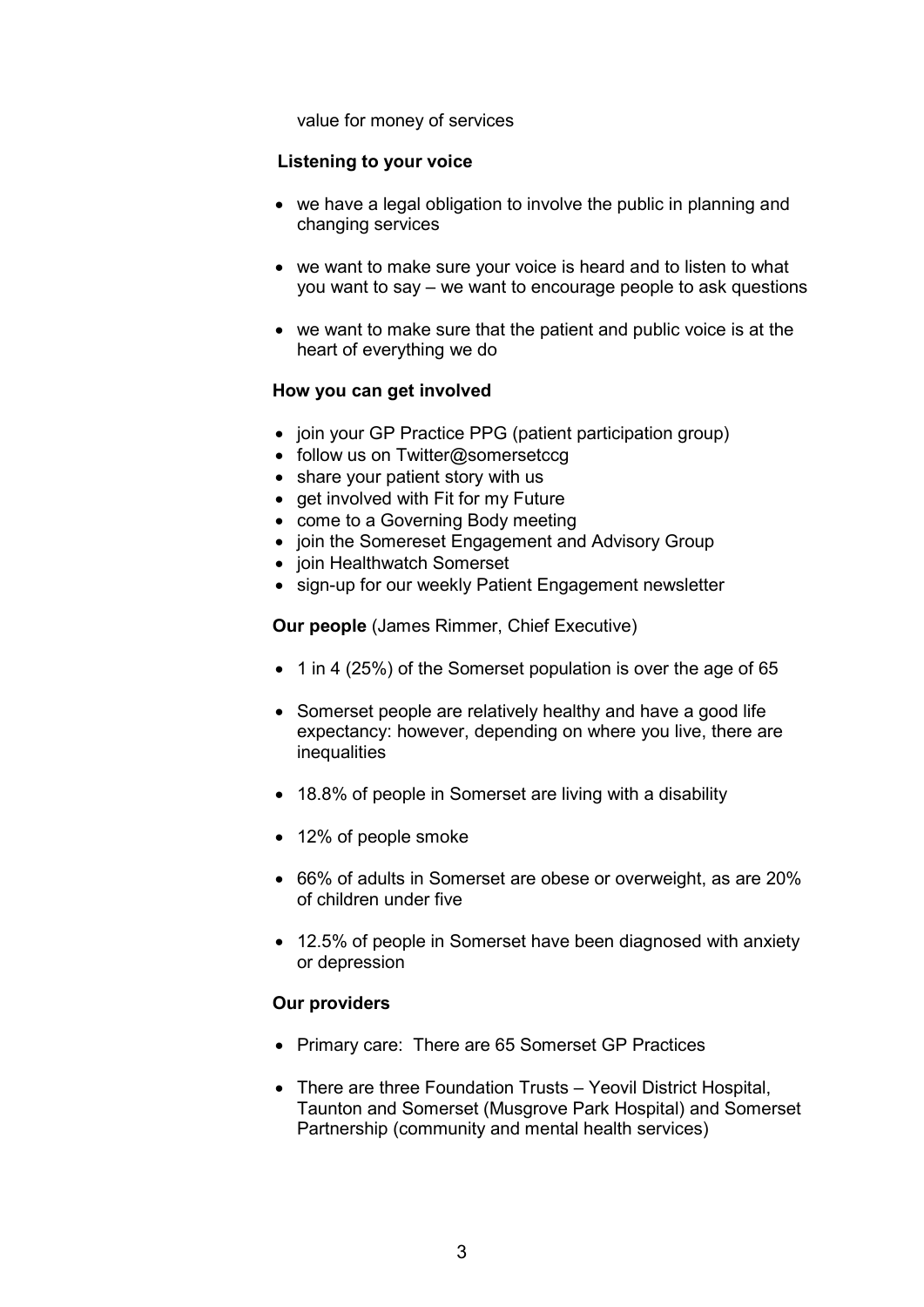value for money of services

## **Listening to your voice**

- we have a legal obligation to involve the public in planning and changing services
- we want to make sure your voice is heard and to listen to what you want to say – we want to encourage people to ask questions
- we want to make sure that the patient and public voice is at the heart of everything we do

## **How you can get involved**

- join your GP Practice PPG (patient participation group)
- follow us on Twitter@somersetccq
- share your patient story with us
- get involved with Fit for my Future
- come to a Governing Body meeting
- join the Somereset Engagement and Advisory Group
- join Healthwatch Somerset
- sign-up for our weekly Patient Engagement newsletter

**Our people** (James Rimmer, Chief Executive)

- 1 in 4 (25%) of the Somerset population is over the age of 65
- Somerset people are relatively healthy and have a good life expectancy: however, depending on where you live, there are inequalities
- 18.8% of people in Somerset are living with a disability
- 12% of people smoke
- 66% of adults in Somerset are obese or overweight, as are 20% of children under five
- 12.5% of people in Somerset have been diagnosed with anxiety or depression

## **Our providers**

- Primary care: There are 65 Somerset GP Practices
- There are three Foundation Trusts Yeovil District Hospital, Taunton and Somerset (Musgrove Park Hospital) and Somerset Partnership (community and mental health services)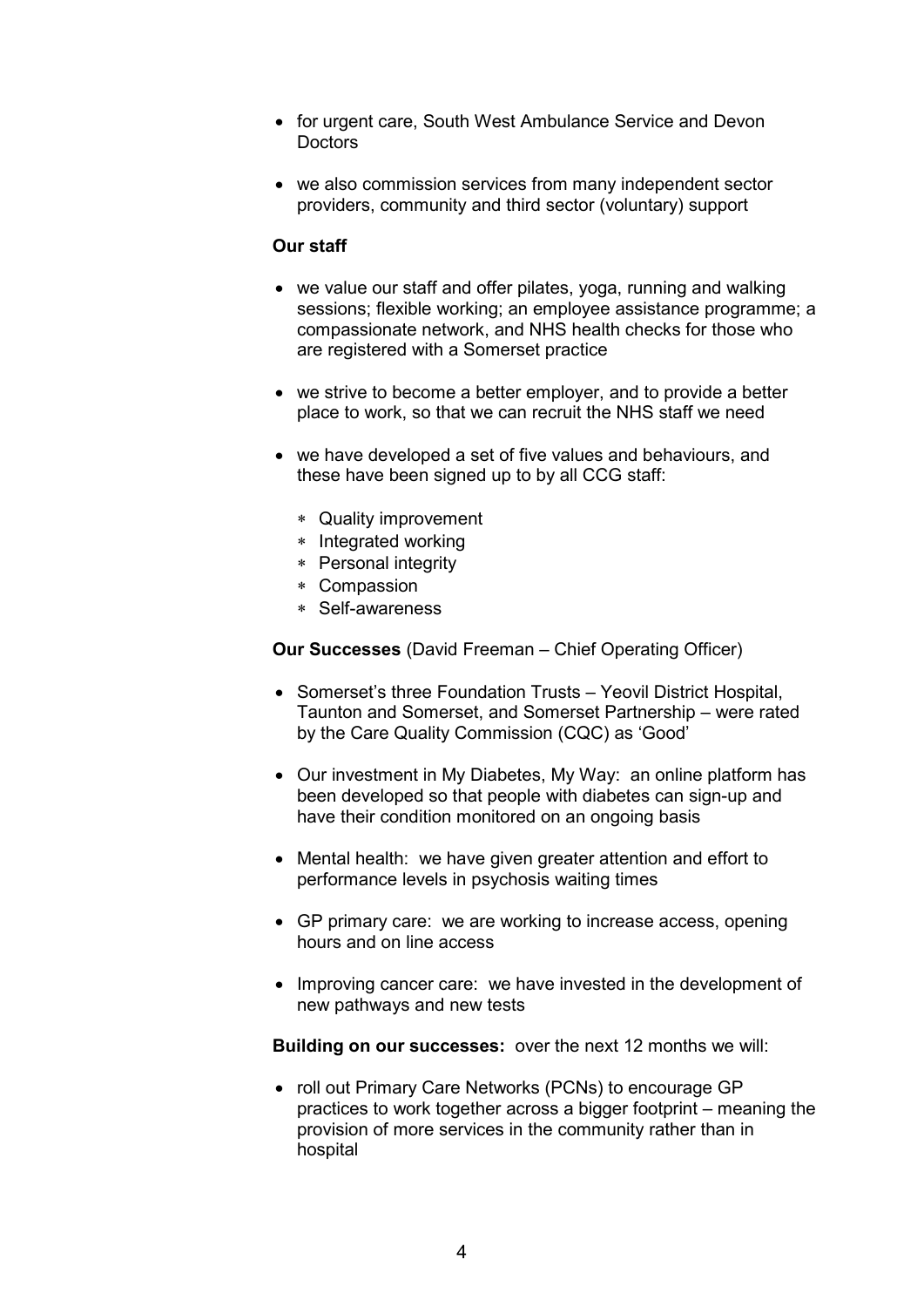- for urgent care, South West Ambulance Service and Devon **Doctors**
- we also commission services from many independent sector providers, community and third sector (voluntary) support

### **Our staff**

- we value our staff and offer pilates, yoga, running and walking sessions; flexible working; an employee assistance programme; a compassionate network, and NHS health checks for those who are registered with a Somerset practice
- we strive to become a better employer, and to provide a better place to work, so that we can recruit the NHS staff we need
- we have developed a set of five values and behaviours, and these have been signed up to by all CCG staff:
	- ∗ Quality improvement
	- ∗ Integrated working
	- ∗ Personal integrity
	- ∗ Compassion
	- ∗ Self-awareness

**Our Successes** (David Freeman – Chief Operating Officer)

- Somerset's three Foundation Trusts Yeovil District Hospital, Taunton and Somerset, and Somerset Partnership – were rated by the Care Quality Commission (CQC) as 'Good'
- Our investment in My Diabetes, My Way: an online platform has been developed so that people with diabetes can sign-up and have their condition monitored on an ongoing basis
- Mental health: we have given greater attention and effort to performance levels in psychosis waiting times
- GP primary care: we are working to increase access, opening hours and on line access
- Improving cancer care: we have invested in the development of new pathways and new tests

**Building on our successes:** over the next 12 months we will:

• roll out Primary Care Networks (PCNs) to encourage GP practices to work together across a bigger footprint – meaning the provision of more services in the community rather than in hospital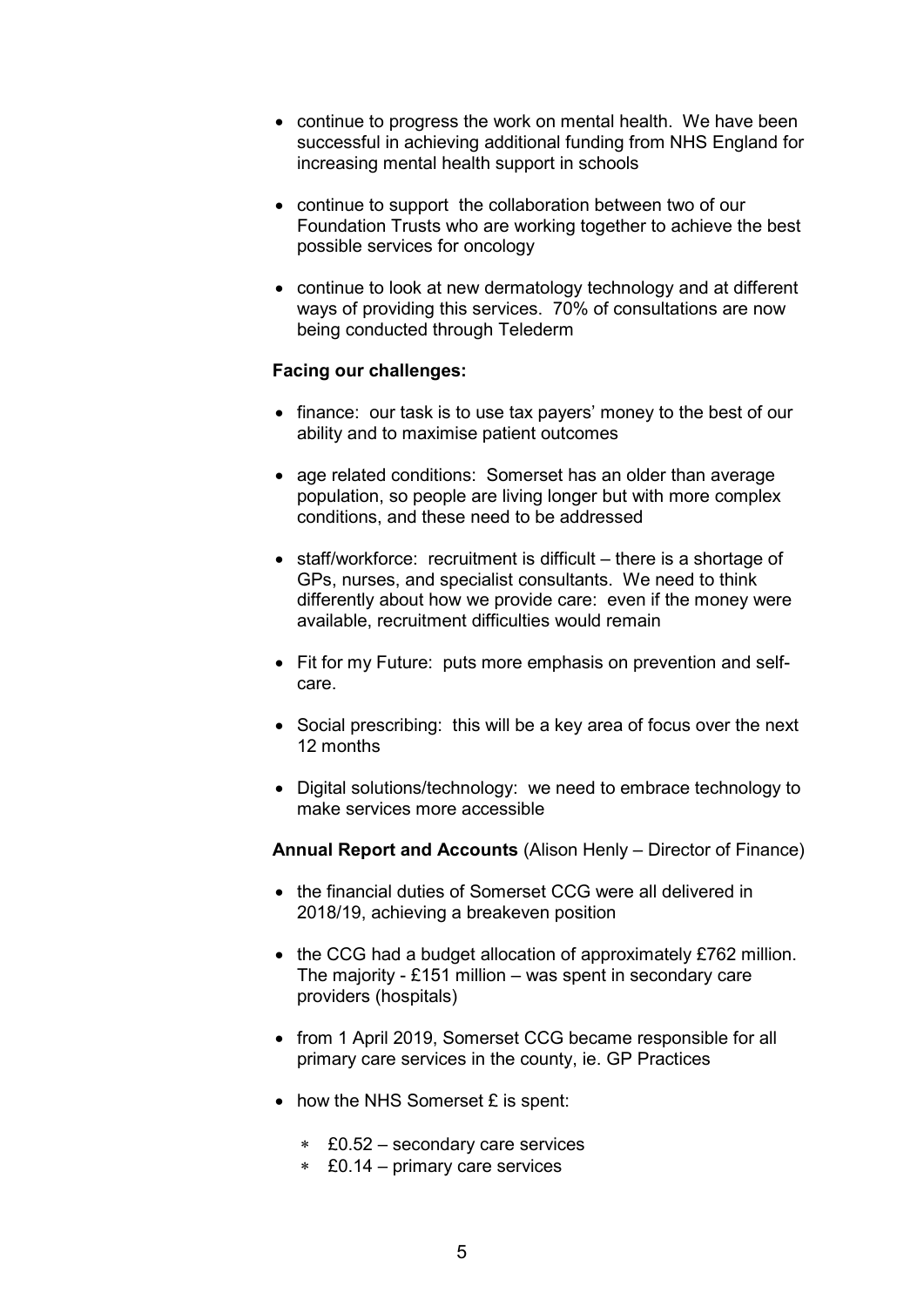- continue to progress the work on mental health. We have been successful in achieving additional funding from NHS England for increasing mental health support in schools
- continue to support the collaboration between two of our Foundation Trusts who are working together to achieve the best possible services for oncology
- continue to look at new dermatology technology and at different ways of providing this services. 70% of consultations are now being conducted through Telederm

### **Facing our challenges:**

- finance: our task is to use tax payers' money to the best of our ability and to maximise patient outcomes
- age related conditions: Somerset has an older than average population, so people are living longer but with more complex conditions, and these need to be addressed
- staff/workforce: recruitment is difficult there is a shortage of GPs, nurses, and specialist consultants. We need to think differently about how we provide care: even if the money were available, recruitment difficulties would remain
- Fit for my Future: puts more emphasis on prevention and selfcare.
- Social prescribing: this will be a key area of focus over the next 12 months
- Digital solutions/technology: we need to embrace technology to make services more accessible

**Annual Report and Accounts** (Alison Henly – Director of Finance)

- the financial duties of Somerset CCG were all delivered in 2018/19, achieving a breakeven position
- the CCG had a budget allocation of approximately £762 million. The majority - £151 million – was spent in secondary care providers (hospitals)
- from 1 April 2019, Somerset CCG became responsible for all primary care services in the county, ie. GP Practices
- how the NHS Somerset £ is spent:
	- ∗ £0.52 secondary care services
	- ∗ £0.14 primary care services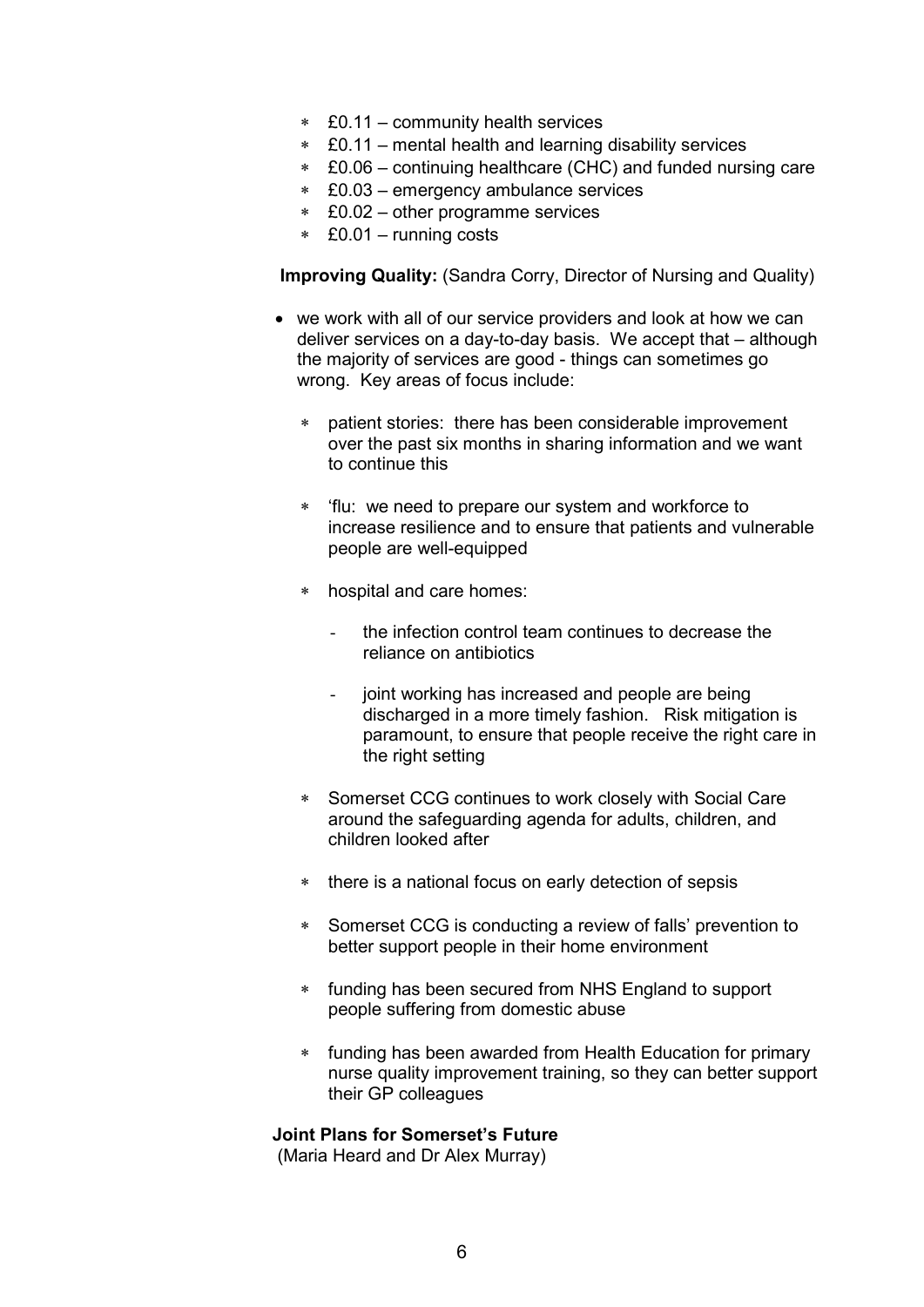- ∗ £0.11 community health services
- ∗ £0.11 mental health and learning disability services
- ∗ £0.06 continuing healthcare (CHC) and funded nursing care
- ∗ £0.03 emergency ambulance services
- ∗ £0.02 other programme services
- ∗ £0.01 running costs

**Improving Quality:** (Sandra Corry, Director of Nursing and Quality)

- we work with all of our service providers and look at how we can deliver services on a day-to-day basis. We accept that – although the majority of services are good - things can sometimes go wrong. Key areas of focus include:
	- patient stories: there has been considerable improvement over the past six months in sharing information and we want to continue this
	- ∗ 'flu: we need to prepare our system and workforce to increase resilience and to ensure that patients and vulnerable people are well-equipped
	- ∗ hospital and care homes:
		- the infection control team continues to decrease the reliance on antibiotics
		- joint working has increased and people are being discharged in a more timely fashion. Risk mitigation is paramount, to ensure that people receive the right care in the right setting
	- Somerset CCG continues to work closely with Social Care around the safeguarding agenda for adults, children, and children looked after
	- ∗ there is a national focus on early detection of sepsis
	- ∗ Somerset CCG is conducting a review of falls' prevention to better support people in their home environment
	- ∗ funding has been secured from NHS England to support people suffering from domestic abuse
	- ∗ funding has been awarded from Health Education for primary nurse quality improvement training, so they can better support their GP colleagues

### **Joint Plans for Somerset's Future**

(Maria Heard and Dr Alex Murray)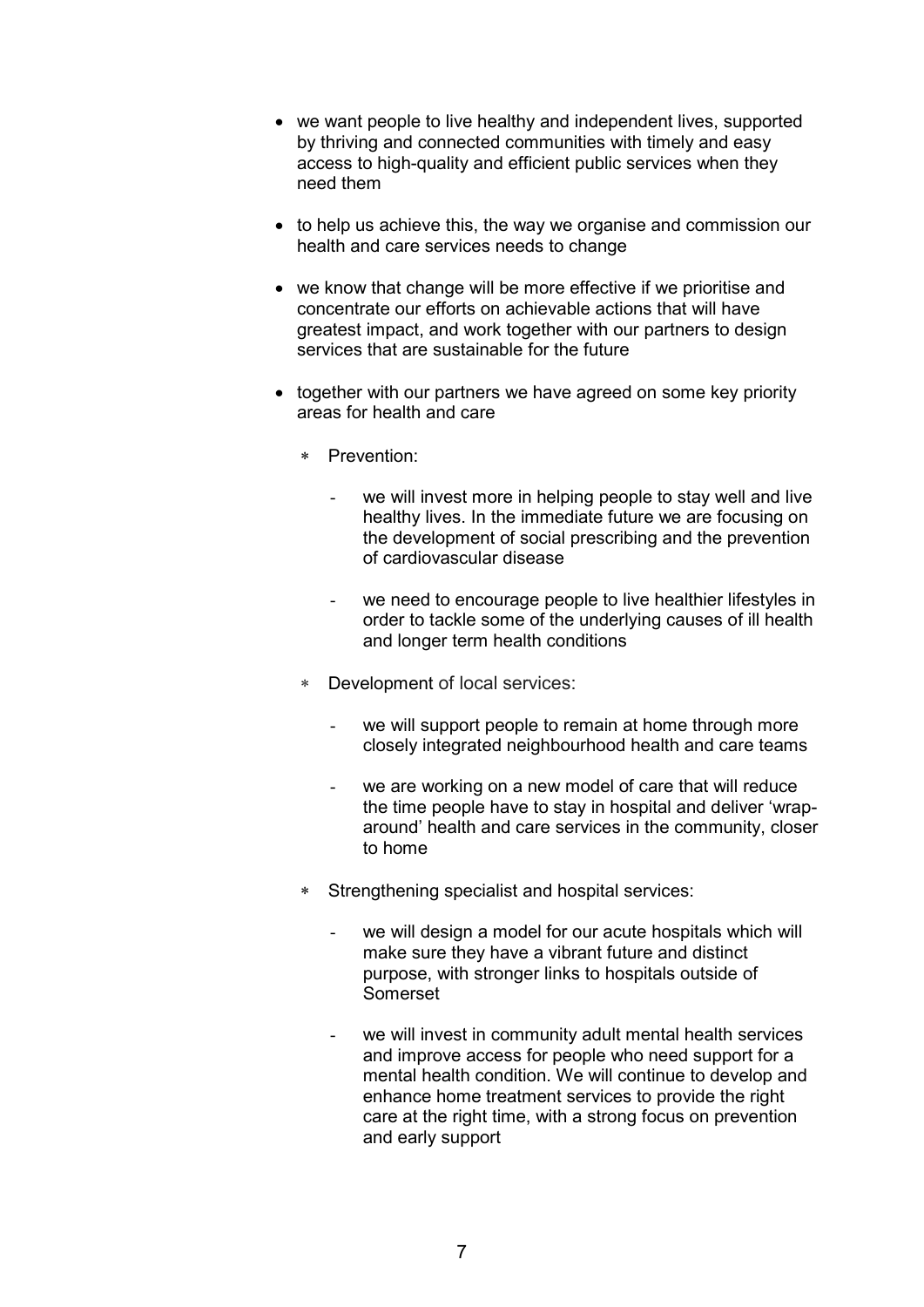- we want people to live healthy and independent lives, supported by thriving and connected communities with timely and easy access to high-quality and efficient public services when they need them
- to help us achieve this, the way we organise and commission our health and care services needs to change
- we know that change will be more effective if we prioritise and concentrate our efforts on achievable actions that will have greatest impact, and work together with our partners to design services that are sustainable for the future
- together with our partners we have agreed on some key priority areas for health and care
	- ∗ Prevention:
		- we will invest more in helping people to stay well and live healthy lives. In the immediate future we are focusing on the development of social prescribing and the prevention of cardiovascular disease
		- we need to encourage people to live healthier lifestyles in order to tackle some of the underlying causes of ill health and longer term health conditions
	- Development of local services:
		- we will support people to remain at home through more closely integrated neighbourhood health and care teams
		- we are working on a new model of care that will reduce the time people have to stay in hospital and deliver 'wraparound' health and care services in the community, closer to home
	- ∗ Strengthening specialist and hospital services:
		- we will design a model for our acute hospitals which will make sure they have a vibrant future and distinct purpose, with stronger links to hospitals outside of Somerset
		- we will invest in community adult mental health services and improve access for people who need support for a mental health condition. We will continue to develop and enhance home treatment services to provide the right care at the right time, with a strong focus on prevention and early support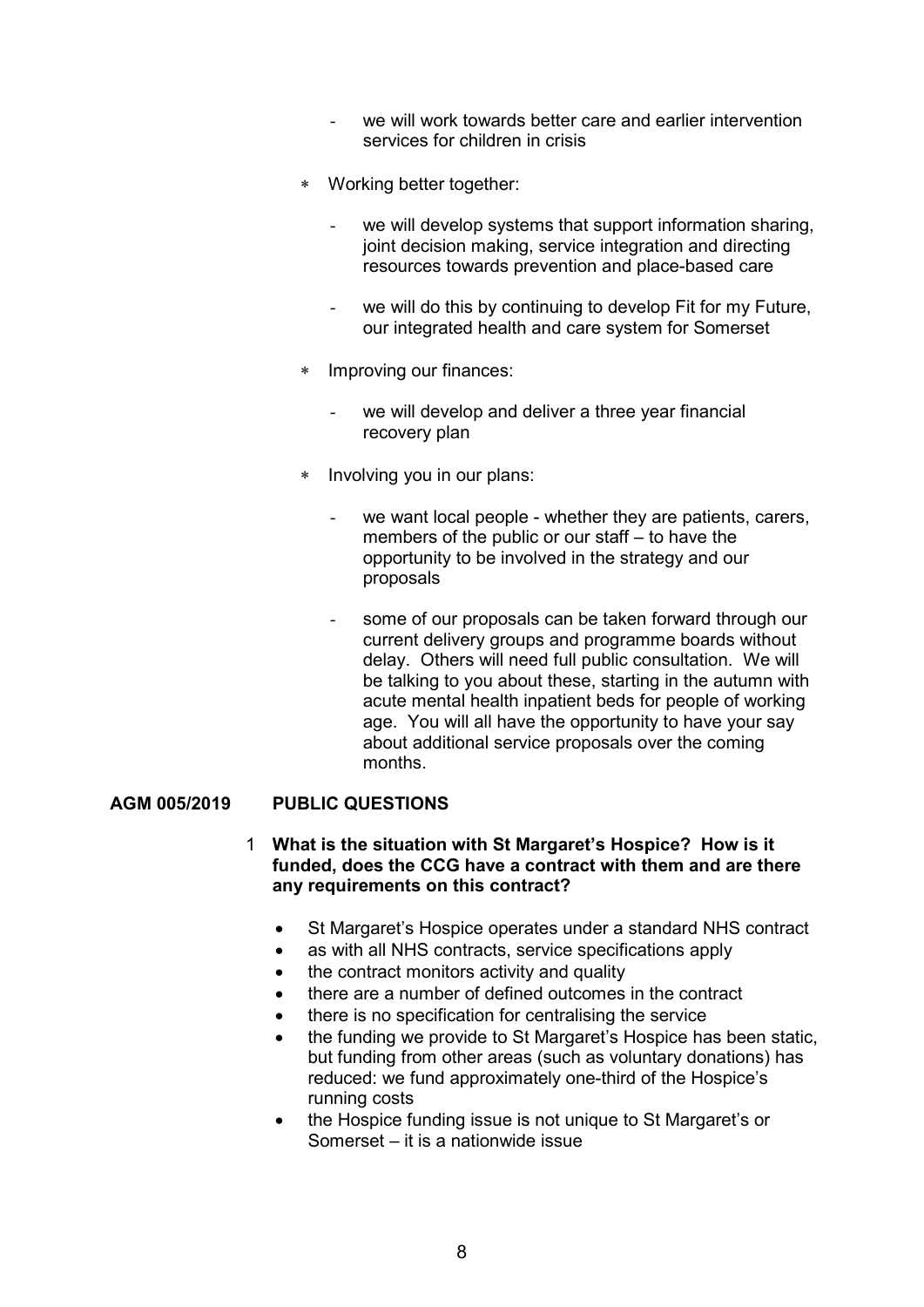- we will work towards better care and earlier intervention services for children in crisis
- ∗ Working better together:
	- we will develop systems that support information sharing, joint decision making, service integration and directing resources towards prevention and place-based care
	- we will do this by continuing to develop Fit for my Future, our integrated health and care system for Somerset
- Improving our finances:
	- we will develop and deliver a three year financial recovery plan
- ∗ Involving you in our plans:
	- we want local people whether they are patients, carers, members of the public or our staff – to have the opportunity to be involved in the strategy and our proposals
	- some of our proposals can be taken forward through our current delivery groups and programme boards without delay. Others will need full public consultation. We will be talking to you about these, starting in the autumn with acute mental health inpatient beds for people of working age. You will all have the opportunity to have your say about additional service proposals over the coming months.

### **AGM 005/2019 PUBLIC QUESTIONS**

- 1 **What is the situation with St Margaret's Hospice? How is it funded, does the CCG have a contract with them and are there any requirements on this contract?** 
	- St Margaret's Hospice operates under a standard NHS contract
	- as with all NHS contracts, service specifications apply
	- the contract monitors activity and quality
	- there are a number of defined outcomes in the contract
	- there is no specification for centralising the service
	- the funding we provide to St Margaret's Hospice has been static, but funding from other areas (such as voluntary donations) has reduced: we fund approximately one-third of the Hospice's running costs
	- the Hospice funding issue is not unique to St Margaret's or Somerset – it is a nationwide issue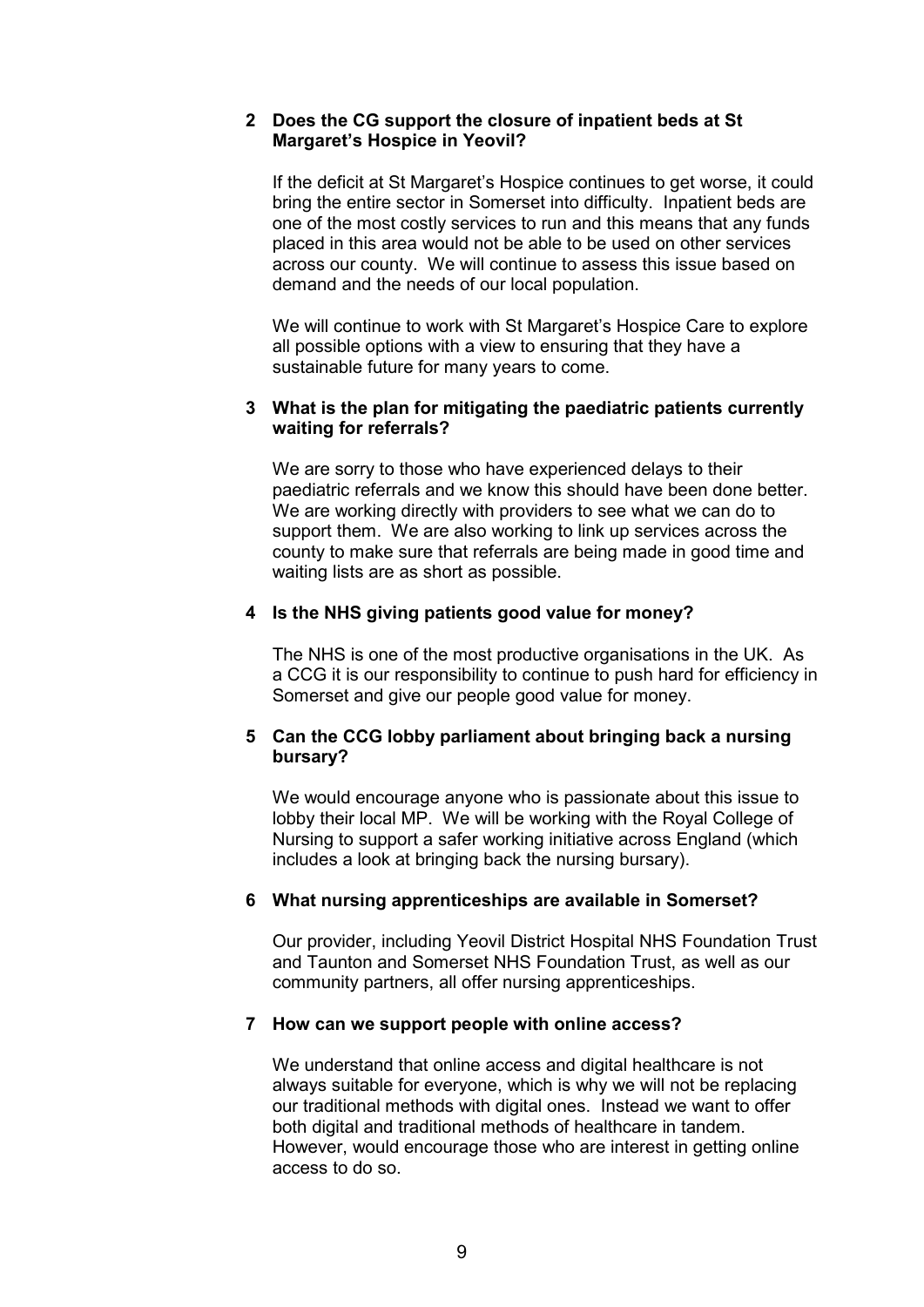### **2 Does the CG support the closure of inpatient beds at St Margaret's Hospice in Yeovil?**

 If the deficit at St Margaret's Hospice continues to get worse, it could bring the entire sector in Somerset into difficulty. Inpatient beds are one of the most costly services to run and this means that any funds placed in this area would not be able to be used on other services across our county. We will continue to assess this issue based on demand and the needs of our local population.

 We will continue to work with St Margaret's Hospice Care to explore all possible options with a view to ensuring that they have a sustainable future for many years to come.

### **3 What is the plan for mitigating the paediatric patients currently waiting for referrals?**

We are sorry to those who have experienced delays to their paediatric referrals and we know this should have been done better. We are working directly with providers to see what we can do to support them. We are also working to link up services across the county to make sure that referrals are being made in good time and waiting lists are as short as possible.

## **4 Is the NHS giving patients good value for money?**

The NHS is one of the most productive organisations in the UK. As a CCG it is our responsibility to continue to push hard for efficiency in Somerset and give our people good value for money.

## **5 Can the CCG lobby parliament about bringing back a nursing bursary?**

 We would encourage anyone who is passionate about this issue to lobby their local MP. We will be working with the Royal College of Nursing to support a safer working initiative across England (which includes a look at bringing back the nursing bursary).

### **6 What nursing apprenticeships are available in Somerset?**

 Our provider, including Yeovil District Hospital NHS Foundation Trust and Taunton and Somerset NHS Foundation Trust, as well as our community partners, all offer nursing apprenticeships.

### **7 How can we support people with online access?**

We understand that online access and digital healthcare is not always suitable for everyone, which is why we will not be replacing our traditional methods with digital ones. Instead we want to offer both digital and traditional methods of healthcare in tandem. However, would encourage those who are interest in getting online access to do so.